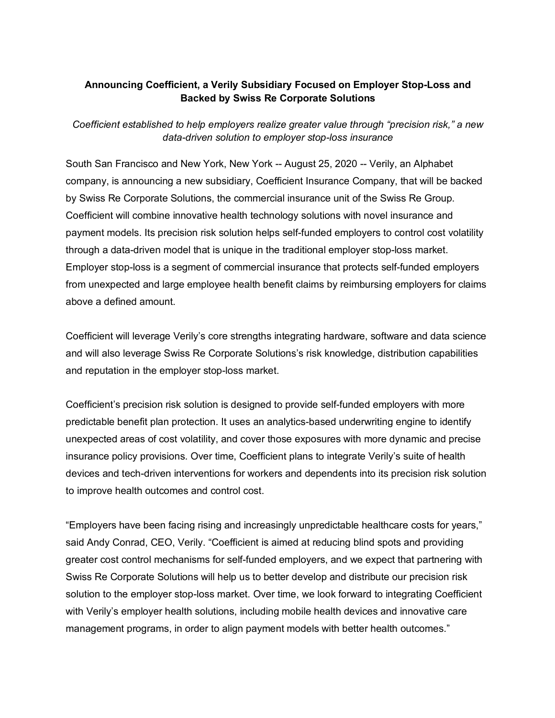# **Announcing Coefficient, a Verily Subsidiary Focused on Employer Stop-Loss and Backed by Swiss Re Corporate Solutions**

*Coefficient established to help employers realize greater value through "precision risk," a new data-driven solution to employer stop-loss insurance*

South San Francisco and New York, New York -- August 25, 2020 -- Verily, an Alphabet company, is announcing a new subsidiary, Coefficient Insurance Company, that will be backed by Swiss Re Corporate Solutions, the commercial insurance unit of the Swiss Re Group. Coefficient will combine innovative health technology solutions with novel insurance and payment models. Its precision risk solution helps self-funded employers to control cost volatility through a data-driven model that is unique in the traditional employer stop-loss market. Employer stop-loss is a segment of commercial insurance that protects self-funded employers from unexpected and large employee health benefit claims by reimbursing employers for claims above a defined amount.

Coefficient will leverage Verily's core strengths integrating hardware, software and data science and will also leverage Swiss Re Corporate Solutions's risk knowledge, distribution capabilities and reputation in the employer stop-loss market.

Coefficient's precision risk solution is designed to provide self-funded employers with more predictable benefit plan protection. It uses an analytics-based underwriting engine to identify unexpected areas of cost volatility, and cover those exposures with more dynamic and precise insurance policy provisions. Over time, Coefficient plans to integrate Verily's suite of health devices and tech-driven interventions for workers and dependents into its precision risk solution to improve health outcomes and control cost.

"Employers have been facing rising and increasingly unpredictable healthcare costs for years," said Andy Conrad, CEO, Verily. "Coefficient is aimed at reducing blind spots and providing greater cost control mechanisms for self-funded employers, and we expect that partnering with Swiss Re Corporate Solutions will help us to better develop and distribute our precision risk solution to the employer stop-loss market. Over time, we look forward to integrating Coefficient with Verily's employer health solutions, including mobile health devices and innovative care management programs, in order to align payment models with better health outcomes."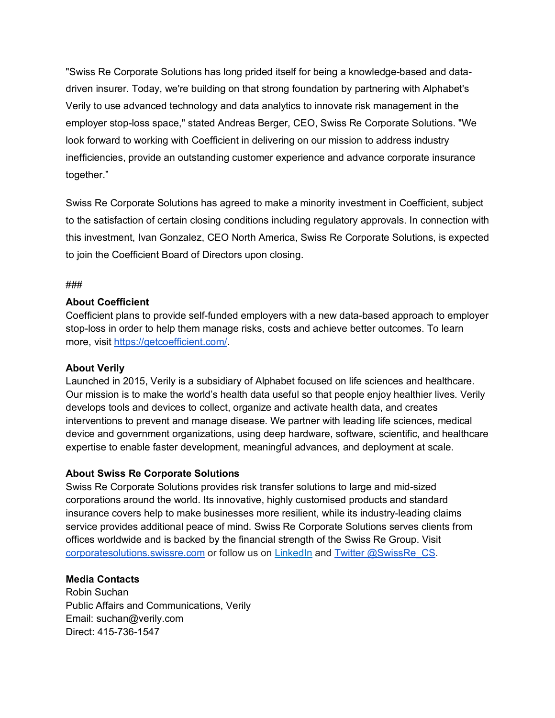"Swiss Re Corporate Solutions has long prided itself for being a knowledge-based and datadriven insurer. Today, we're building on that strong foundation by partnering with Alphabet's Verily to use advanced technology and data analytics to innovate risk management in the employer stop-loss space," stated Andreas Berger, CEO, Swiss Re Corporate Solutions. "We look forward to working with Coefficient in delivering on our mission to address industry inefficiencies, provide an outstanding customer experience and advance corporate insurance together."

Swiss Re Corporate Solutions has agreed to make a minority investment in Coefficient, subject to the satisfaction of certain closing conditions including regulatory approvals. In connection with this investment, Ivan Gonzalez, CEO North America, Swiss Re Corporate Solutions, is expected to join the Coefficient Board of Directors upon closing.

### ###

## **About Coefficient**

Coefficient plans to provide self-funded employers with a new data-based approach to employer stop-loss in order to help them manage risks, costs and achieve better outcomes. To learn more, visit https://getcoefficient.com/.

## **About Verily**

Launched in 2015, Verily is a subsidiary of Alphabet focused on life sciences and healthcare. Our mission is to make the world's health data useful so that people enjoy healthier lives. Verily develops tools and devices to collect, organize and activate health data, and creates interventions to prevent and manage disease. We partner with leading life sciences, medical device and government organizations, using deep hardware, software, scientific, and healthcare expertise to enable faster development, meaningful advances, and deployment at scale.

## **About Swiss Re Corporate Solutions**

Swiss Re Corporate Solutions provides risk transfer solutions to large and mid-sized corporations around the world. Its innovative, highly customised products and standard insurance covers help to make businesses more resilient, while its industry-leading claims service provides additional peace of mind. Swiss Re Corporate Solutions serves clients from offices worldwide and is backed by the financial strength of the Swiss Re Group. Visit <corporatesolutions.swissre.com> or follow us on [LinkedIn](https://www.linkedin.com/company/swiss-re-corporate-solutions/) and [Twitter @SwissRe\\_CS.](https://twitter.com/SwissRe_CS)

## **Media Contacts**

Robin Suchan Public Affairs and Communications, Verily Email: suchan@verily.com Direct: 415-736-1547